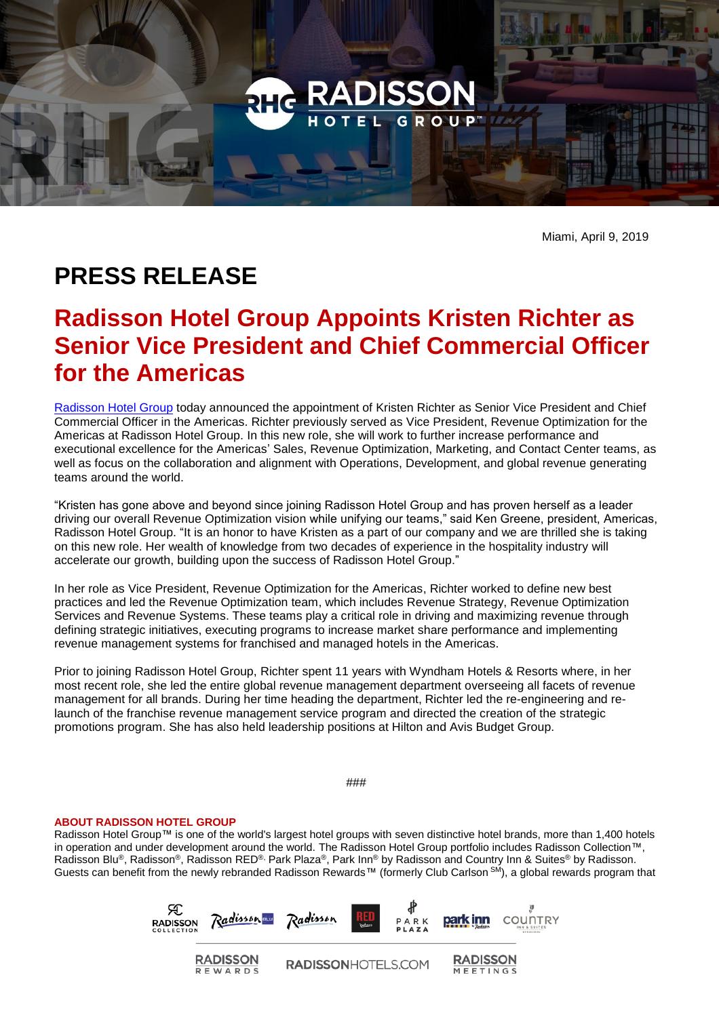

Miami, April 9, 2019

## **PRESS RELEASE**

## **Radisson Hotel Group Appoints Kristen Richter as Senior Vice President and Chief Commercial Officer for the Americas**

[Radisson Hotel Group](https://www.radissonhotelgroup.com/) today announced the appointment of Kristen Richter as Senior Vice President and Chief Commercial Officer in the Americas. Richter previously served as Vice President, Revenue Optimization for the Americas at Radisson Hotel Group. In this new role, she will work to further increase performance and executional excellence for the Americas' Sales, Revenue Optimization, Marketing, and Contact Center teams, as well as focus on the collaboration and alignment with Operations, Development, and global revenue generating teams around the world.

"Kristen has gone above and beyond since joining Radisson Hotel Group and has proven herself as a leader driving our overall Revenue Optimization vision while unifying our teams," said Ken Greene, president, Americas, Radisson Hotel Group. "It is an honor to have Kristen as a part of our company and we are thrilled she is taking on this new role. Her wealth of knowledge from two decades of experience in the hospitality industry will accelerate our growth, building upon the success of Radisson Hotel Group."

In her role as Vice President, Revenue Optimization for the Americas, Richter worked to define new best practices and led the Revenue Optimization team, which includes Revenue Strategy, Revenue Optimization Services and Revenue Systems. These teams play a critical role in driving and maximizing revenue through defining strategic initiatives, executing programs to increase market share performance and implementing revenue management systems for franchised and managed hotels in the Americas.

Prior to joining Radisson Hotel Group, Richter spent 11 years with Wyndham Hotels & Resorts where, in her most recent role, she led the entire global revenue management department overseeing all facets of revenue management for all brands. During her time heading the department, Richter led the re-engineering and relaunch of the franchise revenue management service program and directed the creation of the strategic promotions program. She has also held leadership positions at Hilton and Avis Budget Group.

###

## **ABOUT RADISSON HOTEL GROUP**

Radisson Hotel Group™ is one of the world's largest hotel groups with seven distinctive hotel brands, more than 1,400 hotels in operation and under development around the world. The Radisson Hotel Group portfolio includes Radisson Collection™, Radisson Blu®, Radisson®, Radisson RED®, Park Plaza®, Park Inn® by Radisson and Country Inn & Suites® by Radisson. Guests can benefit from the newly rebranded Radisson Rewards™ (formerly Club Carlson <sup>SM</sup>), a global rewards program that